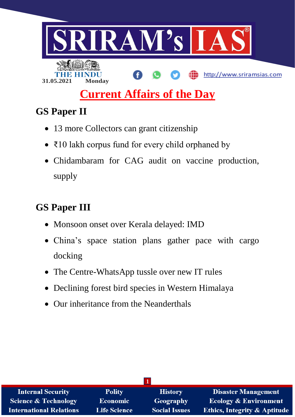

# **Current Affairs of the Day**

## **GS Paper II**

- 13 more Collectors can grant citizenship
- ₹10 lakh corpus fund for every child orphaned by
- Chidambaram for CAG audit on vaccine production, supply

# **GS Paper III**

- Monsoon onset over Kerala delayed: IMD
- China's space station plans gather pace with cargo docking
- The Centre-WhatsApp tussle over new IT rules
- Declining forest bird species in Western Himalaya
- Our inheritance from the Neanderthals

| <b>Internal Security</b>        | <b>Polity</b>       | <b>History</b>       | <b>Disaster Management</b>              |  |
|---------------------------------|---------------------|----------------------|-----------------------------------------|--|
| <b>Science &amp; Technology</b> | <b>Economic</b>     | Geography            | <b>Ecology &amp; Environment</b>        |  |
| <b>International Relations</b>  | <b>Life Science</b> | <b>Social Issues</b> | <b>Ethics, Integrity &amp; Aptitude</b> |  |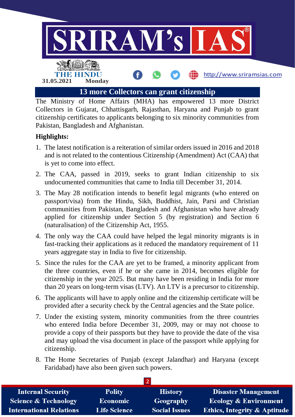

The Ministry of Home Affairs (MHA) has empowered 13 more District Collectors in Gujarat, Chhattisgarh, Rajasthan, Haryana and Punjab to grant citizenship certificates to applicants belonging to six minority communities from Pakistan, Bangladesh and Afghanistan.

#### **Highlights:**

- 1. The latest notification is a reiteration of similar orders issued in 2016 and 2018 and is not related to the contentious Citizenship (Amendment) Act (CAA) that is yet to come into effect.
- 2. The CAA, passed in 2019, seeks to grant Indian citizenship to six undocumented communities that came to India till December 31, 2014.
- 3. The May 28 notification intends to benefit legal migrants (who entered on passport/visa) from the Hindu, Sikh, Buddhist, Jain, Parsi and Christian communities from Pakistan, Bangladesh and Afghanistan who have already applied for citizenship under Section 5 (by registration) and Section 6 (naturalisation) of the Citizenship Act, 1955.
- 4. The only way the CAA could have helped the legal minority migrants is in fast-tracking their applications as it reduced the mandatory requirement of 11 years aggregate stay in India to five for citizenship.
- 5. Since the rules for the CAA are yet to be framed, a minority applicant from the three countries, even if he or she came in 2014, becomes eligible for citizenship in the year 2025. But many have been residing in India for more than 20 years on long-term visas (LTV). An LTV is a precursor to citizenship.
- 6. The applicants will have to apply online and the citizenship certificate will be provided after a security check by the Central agencies and the State police.
- 7. Under the existing system, minority communities from the three countries who entered India before December 31, 2009, may or may not choose to provide a copy of their passports but they have to provide the date of the visa and may upload the visa document in place of the passport while applying for citizenship.
- 8. The Home Secretaries of Punjab (except Jalandhar) and Haryana (except Faridabad) have also been given such powers.

| <b>Internal Security</b>        | <b>Polity</b>       | <b>History</b>       | <b>Disaster Management</b>              |  |  |
|---------------------------------|---------------------|----------------------|-----------------------------------------|--|--|
| <b>Science &amp; Technology</b> | <b>Economic</b>     | Geography            | <b>Ecology &amp; Environment</b>        |  |  |
| <b>International Relations</b>  | <b>Life Science</b> | <b>Social Issues</b> | <b>Ethics, Integrity &amp; Aptitude</b> |  |  |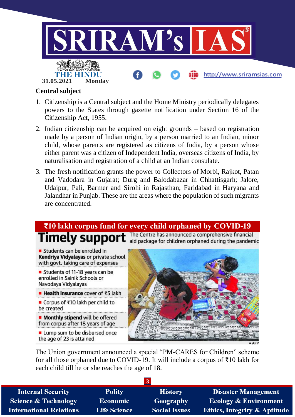

#### **Central subject**

- 1. Citizenship is a Central subject and the Home Ministry periodically delegates powers to the States through gazette notification under Section 16 of the Citizenship Act, 1955.
- 2. Indian citizenship can be acquired on eight grounds based on registration made by a person of Indian origin, by a person married to an Indian, minor child, whose parents are registered as citizens of India, by a person whose either parent was a citizen of Independent India, overseas citizens of India, by naturalisation and registration of a child at an Indian consulate.
- 3. The fresh notification grants the power to Collectors of Morbi, Rajkot, Patan and Vadodara in Gujarat; Durg and Balodabazar in Chhattisgarh; Jalore, Udaipur, Pali, Barmer and Sirohi in Rajasthan; Faridabad in Haryana and Jalandhar in Punjab. These are the areas where the population of such migrants are concentrated.

### **₹10 lakh corpus fund for every child orphaned by COVID-19**

The Centre has announced a comprehensive financial Timely support aid package for children orphaned during the pandemic

Students can be enrolled in Kendriya Vidyalayas or private school with govt. taking care of expenses

Students of 11-18 years can be enrolled in Sainik Schools or Navodaya Vidyalayas

■ Health insurance cover of ₹5 lakh

■ Corpus of ₹10 lakh per child to be created

**Monthly stipend** will be offered from corpus after 18 years of age

Lump sum to be disbursed once the age of 23 is attained



The Union government announced a special "PM-CARES for Children" scheme for all those orphaned due to COVID-19. It will include a corpus of ₹10 lakh for each child till he or she reaches the age of 18.

| <b>Polity</b>       | <b>History</b>       | <b>Disaster Management</b>              |
|---------------------|----------------------|-----------------------------------------|
| <b>Economic</b>     | Geography            | <b>Ecology &amp; Environment</b>        |
| <b>Life Science</b> | <b>Social Issues</b> | <b>Ethics, Integrity &amp; Aptitude</b> |
|                     |                      |                                         |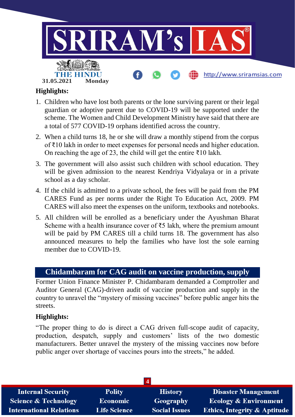

#### **Highlights:**

- 1. Children who have lost both parents or the lone surviving parent or their legal guardian or adoptive parent due to COVID-19 will be supported under the scheme. The Women and Child Development Ministry have said that there are a total of 577 COVID-19 orphans identified across the country.
- 2. When a child turns 18, he or she will draw a monthly stipend from the corpus of ₹10 lakh in order to meet expenses for personal needs and higher education. On reaching the age of 23, the child will get the entire ₹10 lakh.
- 3. The government will also assist such children with school education. They will be given admission to the nearest Kendriya Vidyalaya or in a private school as a day scholar.
- 4. If the child is admitted to a private school, the fees will be paid from the PM CARES Fund as per norms under the Right To Education Act, 2009. PM CARES will also meet the expenses on the uniform, textbooks and notebooks.
- 5. All children will be enrolled as a beneficiary under the Ayushman Bharat Scheme with a health insurance cover of ₹5 lakh, where the premium amount will be paid by PM CARES till a child turns 18. The government has also announced measures to help the families who have lost the sole earning member due to COVID-19.

#### **Chidambaram for CAG audit on vaccine production, supply**

Former Union Finance Minister P. Chidambaram demanded a Comptroller and Auditor General (CAG)-driven audit of vaccine production and supply in the country to unravel the "mystery of missing vaccines" before public anger hits the streets.

#### **Highlights:**

"The proper thing to do is direct a CAG driven full-scope audit of capacity, production, despatch, supply and customers' lists of the two domestic manufacturers. Better unravel the mystery of the missing vaccines now before public anger over shortage of vaccines pours into the streets," he added.

| <b>Internal Security</b>        | <b>Polity</b>       | <b>History</b>       | <b>Disaster Management</b>              |  |  |
|---------------------------------|---------------------|----------------------|-----------------------------------------|--|--|
| <b>Science &amp; Technology</b> | <b>Economic</b>     | Geography            | <b>Ecology &amp; Environment</b>        |  |  |
| <b>International Relations</b>  | <b>Life Science</b> | <b>Social Issues</b> | <b>Ethics, Integrity &amp; Aptitude</b> |  |  |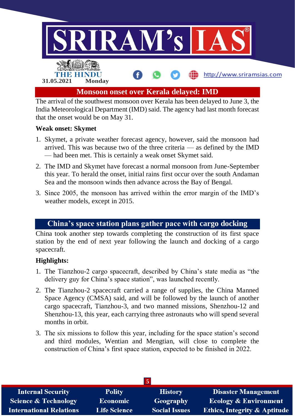

The arrival of the southwest monsoon over Kerala has been delayed to June 3, the India Meteorological Department (IMD) said. The agency had last month forecast that the onset would be on May 31.

#### **Weak onset: Skymet**

- 1. Skymet, a private weather forecast agency, however, said the monsoon had arrived. This was because two of the three criteria — as defined by the IMD — had been met. This is certainly a weak onset Skymet said.
- 2. The IMD and Skymet have forecast a normal monsoon from June-September this year. To herald the onset, initial rains first occur over the south Andaman Sea and the monsoon winds then advance across the Bay of Bengal.
- 3. Since 2005, the monsoon has arrived within the error margin of the IMD's weather models, except in 2015.

#### **China's space station plans gather pace with cargo docking**

China took another step towards completing the construction of its first space station by the end of next year following the launch and docking of a cargo spacecraft.

#### **Highlights:**

- 1. The Tianzhou-2 cargo spacecraft, described by China's state media as "the delivery guy for China's space station", was launched recently.
- 2. The Tianzhou-2 spacecraft carried a range of supplies, the China Manned Space Agency (CMSA) said, and will be followed by the launch of another cargo spacecraft, Tianzhou-3, and two manned missions, Shenzhou-12 and Shenzhou-13, this year, each carrying three astronauts who will spend several months in orbit.
- 3. The six missions to follow this year, including for the space station's second and third modules, Wentian and Mengtian, will close to complete the construction of China's first space station, expected to be finished in 2022.

| <b>Internal Security</b>        | <b>Polity</b>       | <b>History</b>       | <b>Disaster Management</b>              |  |  |
|---------------------------------|---------------------|----------------------|-----------------------------------------|--|--|
| <b>Science &amp; Technology</b> | <b>Economic</b>     | Geography            | <b>Ecology &amp; Environment</b>        |  |  |
| <b>International Relations</b>  | <b>Life Science</b> | <b>Social Issues</b> | <b>Ethics, Integrity &amp; Aptitude</b> |  |  |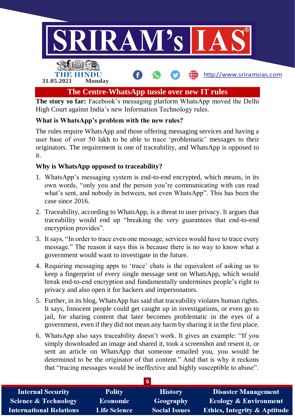

The story so far: Facebook's messaging platform WhatsApp moved the Delhi High Court against India's new Information Technology rules.

#### **What is WhatsApp's problem with the new rules?**

The rules require WhatsApp and those offering messaging services and having a user base of over 50 lakh to be able to trace 'problematic' messages to their originators. The requirement is one of traceability, and WhatsApp is opposed to it.

#### **Why is WhatsApp opposed to traceability?**

- 1. WhatsApp's messaging system is end-to-end encrypted, which means, in its own words, "only you and the person you're communicating with can read what's sent, and nobody in between, not even WhatsApp". This has been the case since 2016.
- 2. Traceability, according to WhatsApp, is a threat to user privacy. It argues that traceability would end up "breaking the very guarantees that end-to-end encryption provides".
- 3. It says, "In order to trace even one message, services would have to trace every message." The reason it says this is because there is no way to know what a government would want to investigate in the future.
- 4. Requiring messaging apps to 'trace' chats is the equivalent of asking us to keep a fingerprint of every single message sent on WhatsApp, which would break end-to-end encryption and fundamentally undermines people's right to privacy and also open it for hackers and impersonators.
- 5. Further, in its blog, WhatsApp has said that traceability violates human rights. It says, Innocent people could get caught up in investigations, or even go to jail, for sharing content that later becomes problematic in the eyes of a government, even if they did not mean any harm by sharing it in the first place.
- 6. WhatsApp also says traceability doesn't work. It gives an example: "If you simply downloaded an image and shared it, took a screenshot and resent it, or sent an article on WhatsApp that someone emailed you, you would be determined to be the originator of that content." And that is why it reckons that "tracing messages would be ineffective and highly susceptible to abuse".

| <b>Internal Security</b>        | <b>Polity</b>       | <b>History</b>       | <b>Disaster Management</b>              |
|---------------------------------|---------------------|----------------------|-----------------------------------------|
| <b>Science &amp; Technology</b> | <b>Economic</b>     | Geography            | <b>Ecology &amp; Environment</b>        |
| <b>International Relations</b>  | <b>Life Science</b> | <b>Social Issues</b> | <b>Ethics, Integrity &amp; Aptitude</b> |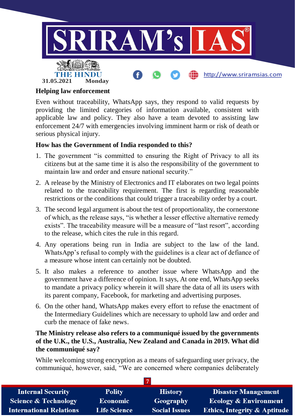

#### **Helping law enforcement**

Even without traceability, WhatsApp says, they respond to valid requests by providing the limited categories of information available, consistent with applicable law and policy. They also have a team devoted to assisting law enforcement 24/7 with emergencies involving imminent harm or risk of death or serious physical injury.

#### **How has the Government of India responded to this?**

- 1. The government "is committed to ensuring the Right of Privacy to all its citizens but at the same time it is also the responsibility of the government to maintain law and order and ensure national security."
- 2. A release by the Ministry of Electronics and IT elaborates on two legal points related to the traceability requirement. The first is regarding reasonable restrictions or the conditions that could trigger a traceability order by a court.
- 3. The second legal argument is about the test of proportionality, the cornerstone of which, as the release says, "is whether a lesser effective alternative remedy exists". The traceability measure will be a measure of "last resort", according to the release, which cites the rule in this regard.
- 4. Any operations being run in India are subject to the law of the land. WhatsApp's refusal to comply with the guidelines is a clear act of defiance of a measure whose intent can certainly not be doubted.
- 5. It also makes a reference to another issue where WhatsApp and the government have a difference of opinion. It says, At one end, WhatsApp seeks to mandate a privacy policy wherein it will share the data of all its users with its parent company, Facebook, for marketing and advertising purposes.
- 6. On the other hand, WhatsApp makes every effort to refuse the enactment of the Intermediary Guidelines which are necessary to uphold law and order and curb the menace of fake news.

#### **The Ministry release also refers to a communiqué issued by the governments of the U.K., the U.S., Australia, New Zealand and Canada in 2019. What did the communiqué say?**

While welcoming strong encryption as a means of safeguarding user privacy, the communiqué, however, said, "We are concerned where companies deliberately

| <b>Internal Security</b>        | <b>Polity</b>       | <b>History</b>       | <b>Disaster Management</b>              |  |
|---------------------------------|---------------------|----------------------|-----------------------------------------|--|
| <b>Science &amp; Technology</b> | <b>Economic</b>     | Geography            | <b>Ecology &amp; Environment</b>        |  |
| <b>International Relations</b>  | <b>Life Science</b> | <b>Social Issues</b> | <b>Ethics, Integrity &amp; Aptitude</b> |  |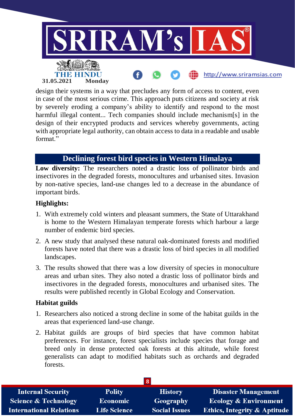

design their systems in a way that precludes any form of access to content, even in case of the most serious crime. This approach puts citizens and society at risk by severely eroding a company's ability to identify and respond to the most harmful illegal content... Tech companies should include mechanism[s] in the design of their encrypted products and services whereby governments, acting with appropriate legal authority, can obtain access to data in a readable and usable format."

#### **Declining forest bird species in Western Himalaya**

Low diversity: The researchers noted a drastic loss of pollinator birds and insectivores in the degraded forests, monocultures and urbanised sites. Invasion by non-native species, land-use changes led to a decrease in the abundance of important birds.

#### **Highlights:**

- 1. With extremely cold winters and pleasant summers, the State of Uttarakhand is home to the Western Himalayan temperate forests which harbour a large number of endemic bird species.
- 2. A new study that analysed these natural oak-dominated forests and modified forests have noted that there was a drastic loss of bird species in all modified landscapes.
- 3. The results showed that there was a low diversity of species in monoculture areas and urban sites. They also noted a drastic loss of pollinator birds and insectivores in the degraded forests, monocultures and urbanised sites. The results were published recently in Global Ecology and Conservation.

#### **Habitat guilds**

- 1. Researchers also noticed a strong decline in some of the habitat guilds in the areas that experienced land-use change.
- 2. Habitat guilds are groups of bird species that have common habitat preferences. For instance, forest specialists include species that forage and breed only in dense protected oak forests at this altitude, while forest generalists can adapt to modified habitats such as orchards and degraded forests.

| <b>Internal Security</b>        | <b>Polity</b>       | <b>History</b>       | <b>Disaster Management</b>              |  |
|---------------------------------|---------------------|----------------------|-----------------------------------------|--|
| <b>Science &amp; Technology</b> | <b>Economic</b>     | Geography            | <b>Ecology &amp; Environment</b>        |  |
| <b>International Relations</b>  | <b>Life Science</b> | <b>Social Issues</b> | <b>Ethics, Integrity &amp; Aptitude</b> |  |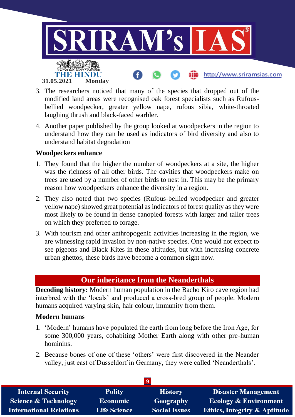

- 3. The researchers noticed that many of the species that dropped out of the modified land areas were recognised oak forest specialists such as Rufousbellied woodpecker, greater yellow nape, rufous sibia, white-throated laughing thrush and black-faced warbler.
- 4. Another paper published by the group looked at woodpeckers in the region to understand how they can be used as indicators of bird diversity and also to understand habitat degradation

#### **Woodpeckers enhance**

- 1. They found that the higher the number of woodpeckers at a site, the higher was the richness of all other birds. The cavities that woodpeckers make on trees are used by a number of other birds to nest in. This may be the primary reason how woodpeckers enhance the diversity in a region.
- 2. They also noted that two species (Rufous-bellied woodpecker and greater yellow nape) showed great potential as indicators of forest quality as they were most likely to be found in dense canopied forests with larger and taller trees on which they preferred to forage.
- 3. With tourism and other anthropogenic activities increasing in the region, we are witnessing rapid invasion by non-native species. One would not expect to see pigeons and Black Kites in these altitudes, but with increasing concrete urban ghettos, these birds have become a common sight now.

#### **Our inheritance from the Neanderthals**

**Decoding history:** Modern human population in the Bacho Kiro cave region had interbred with the 'locals' and produced a cross-bred group of people. Modern humans acquired varying skin, hair colour, immunity from them.

#### **Modern humans**

- 1. 'Modern' humans have populated the earth from long before the Iron Age, for some 300,000 years, cohabiting Mother Earth along with other pre-human hominins.
- 2. Because bones of one of these 'others' were first discovered in the Neander valley, just east of Dusseldorf in Germany, they were called 'Neanderthals'.

| <b>Internal Security</b>        | <b>Polity</b>       | <b>History</b>       | <b>Disaster Management</b>              |  |
|---------------------------------|---------------------|----------------------|-----------------------------------------|--|
| <b>Science &amp; Technology</b> | <b>Economic</b>     | Geography            | <b>Ecology &amp; Environment</b>        |  |
| <b>International Relations</b>  | <b>Life Science</b> | <b>Social Issues</b> | <b>Ethics, Integrity &amp; Aptitude</b> |  |